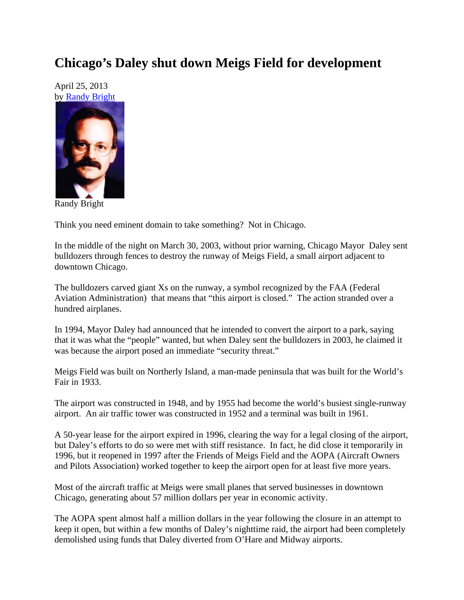## **Chicago's Daley shut down Meigs Field for development**

April 25, 2013 by Randy Bright



Randy Bright

Think you need eminent domain to take something? Not in Chicago.

In the middle of the night on March 30, 2003, without prior warning, Chicago Mayor Daley sent bulldozers through fences to destroy the runway of Meigs Field, a small airport adjacent to downtown Chicago.

The bulldozers carved giant Xs on the runway, a symbol recognized by the FAA (Federal Aviation Administration) that means that "this airport is closed." The action stranded over a hundred airplanes.

In 1994, Mayor Daley had announced that he intended to convert the airport to a park, saying that it was what the "people" wanted, but when Daley sent the bulldozers in 2003, he claimed it was because the airport posed an immediate "security threat."

Meigs Field was built on Northerly Island, a man-made peninsula that was built for the World's Fair in 1933.

The airport was constructed in 1948, and by 1955 had become the world's busiest single-runway airport. An air traffic tower was constructed in 1952 and a terminal was built in 1961.

A 50-year lease for the airport expired in 1996, clearing the way for a legal closing of the airport, but Daley's efforts to do so were met with stiff resistance. In fact, he did close it temporarily in 1996, but it reopened in 1997 after the Friends of Meigs Field and the AOPA (Aircraft Owners and Pilots Association) worked together to keep the airport open for at least five more years.

Most of the aircraft traffic at Meigs were small planes that served businesses in downtown Chicago, generating about 57 million dollars per year in economic activity.

The AOPA spent almost half a million dollars in the year following the closure in an attempt to keep it open, but within a few months of Daley's nighttime raid, the airport had been completely demolished using funds that Daley diverted from O'Hare and Midway airports.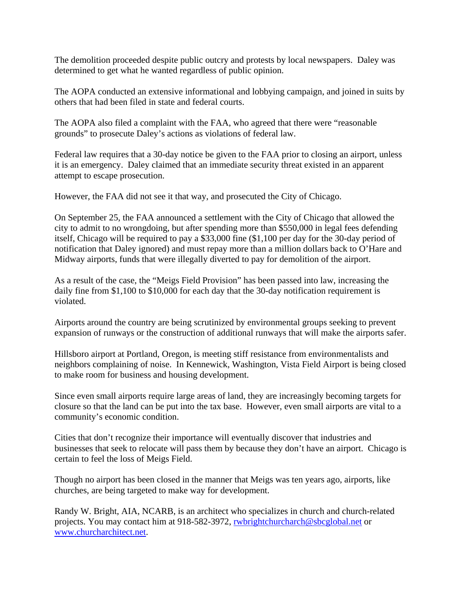The demolition proceeded despite public outcry and protests by local newspapers. Daley was determined to get what he wanted regardless of public opinion.

The AOPA conducted an extensive informational and lobbying campaign, and joined in suits by others that had been filed in state and federal courts.

The AOPA also filed a complaint with the FAA, who agreed that there were "reasonable grounds" to prosecute Daley's actions as violations of federal law.

Federal law requires that a 30-day notice be given to the FAA prior to closing an airport, unless it is an emergency. Daley claimed that an immediate security threat existed in an apparent attempt to escape prosecution.

However, the FAA did not see it that way, and prosecuted the City of Chicago.

On September 25, the FAA announced a settlement with the City of Chicago that allowed the city to admit to no wrongdoing, but after spending more than \$550,000 in legal fees defending itself, Chicago will be required to pay a \$33,000 fine (\$1,100 per day for the 30-day period of notification that Daley ignored) and must repay more than a million dollars back to O'Hare and Midway airports, funds that were illegally diverted to pay for demolition of the airport.

As a result of the case, the "Meigs Field Provision" has been passed into law, increasing the daily fine from \$1,100 to \$10,000 for each day that the 30-day notification requirement is violated.

Airports around the country are being scrutinized by environmental groups seeking to prevent expansion of runways or the construction of additional runways that will make the airports safer.

Hillsboro airport at Portland, Oregon, is meeting stiff resistance from environmentalists and neighbors complaining of noise. In Kennewick, Washington, Vista Field Airport is being closed to make room for business and housing development.

Since even small airports require large areas of land, they are increasingly becoming targets for closure so that the land can be put into the tax base. However, even small airports are vital to a community's economic condition.

Cities that don't recognize their importance will eventually discover that industries and businesses that seek to relocate will pass them by because they don't have an airport. Chicago is certain to feel the loss of Meigs Field.

Though no airport has been closed in the manner that Meigs was ten years ago, airports, like churches, are being targeted to make way for development.

Randy W. Bright, AIA, NCARB, is an architect who specializes in church and church-related projects. You may contact him at 918-582-3972, rwbrightchurcharch@sbcglobal.net or www.churcharchitect.net.